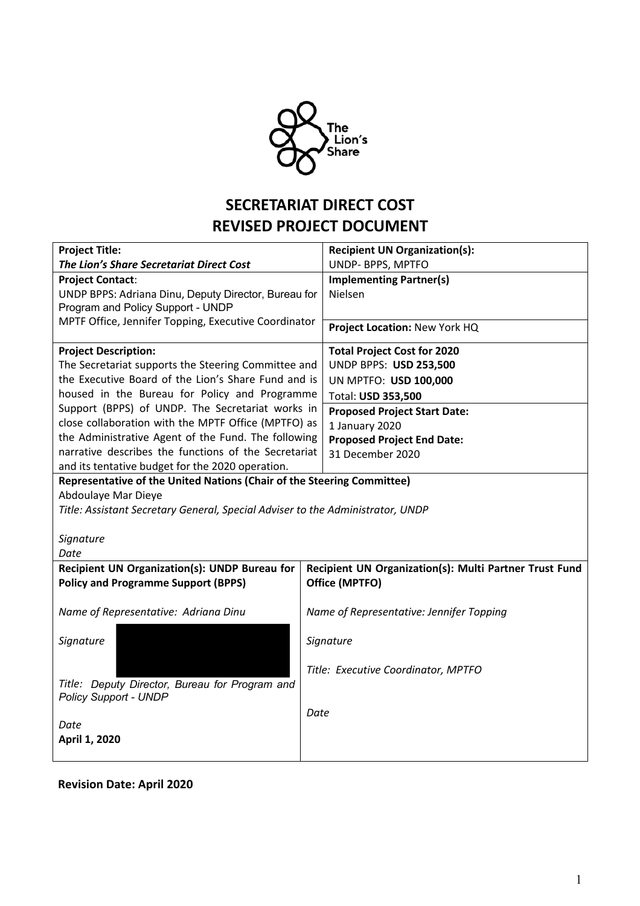

# **SECRETARIAT DIRECT COST REVISED PROJECT DOCUMENT**

| <b>Project Title:</b>                                                                     | <b>Recipient UN Organization(s):</b>                   |  |
|-------------------------------------------------------------------------------------------|--------------------------------------------------------|--|
| The Lion's Share Secretariat Direct Cost                                                  | UNDP- BPPS, MPTFO                                      |  |
| <b>Project Contact:</b>                                                                   | <b>Implementing Partner(s)</b>                         |  |
| UNDP BPPS: Adriana Dinu, Deputy Director, Bureau for<br>Program and Policy Support - UNDP | Nielsen                                                |  |
| MPTF Office, Jennifer Topping, Executive Coordinator                                      |                                                        |  |
|                                                                                           | Project Location: New York HQ                          |  |
| <b>Project Description:</b>                                                               | <b>Total Project Cost for 2020</b>                     |  |
| The Secretariat supports the Steering Committee and                                       | <b>UNDP BPPS: USD 253,500</b>                          |  |
| the Executive Board of the Lion's Share Fund and is                                       | UN MPTFO: USD 100,000                                  |  |
| housed in the Bureau for Policy and Programme                                             | Total: USD 353,500                                     |  |
| Support (BPPS) of UNDP. The Secretariat works in                                          | <b>Proposed Project Start Date:</b>                    |  |
| close collaboration with the MPTF Office (MPTFO) as                                       | 1 January 2020                                         |  |
| the Administrative Agent of the Fund. The following                                       | <b>Proposed Project End Date:</b>                      |  |
| narrative describes the functions of the Secretariat                                      | 31 December 2020                                       |  |
| and its tentative budget for the 2020 operation.                                          |                                                        |  |
| Representative of the United Nations (Chair of the Steering Committee)                    |                                                        |  |
| Abdoulaye Mar Dieye                                                                       |                                                        |  |
| Title: Assistant Secretary General, Special Adviser to the Administrator, UNDP            |                                                        |  |
|                                                                                           |                                                        |  |
| Signature                                                                                 |                                                        |  |
| Date                                                                                      |                                                        |  |
| Recipient UN Organization(s): UNDP Bureau for                                             | Recipient UN Organization(s): Multi Partner Trust Fund |  |
| <b>Policy and Programme Support (BPPS)</b>                                                | Office (MPTFO)                                         |  |
| Name of Representative: Adriana Dinu                                                      | Name of Representative: Jennifer Topping               |  |
|                                                                                           |                                                        |  |
| Signature                                                                                 | Signature                                              |  |
|                                                                                           | Title: Executive Coordinator, MPTFO                    |  |
| Title: Deputy Director, Bureau for Program and                                            |                                                        |  |
| <b>Policy Support - UNDP</b>                                                              |                                                        |  |
|                                                                                           | Date                                                   |  |
| Date                                                                                      |                                                        |  |
| April 1, 2020                                                                             |                                                        |  |
|                                                                                           |                                                        |  |

### **Revision Date: April 2020**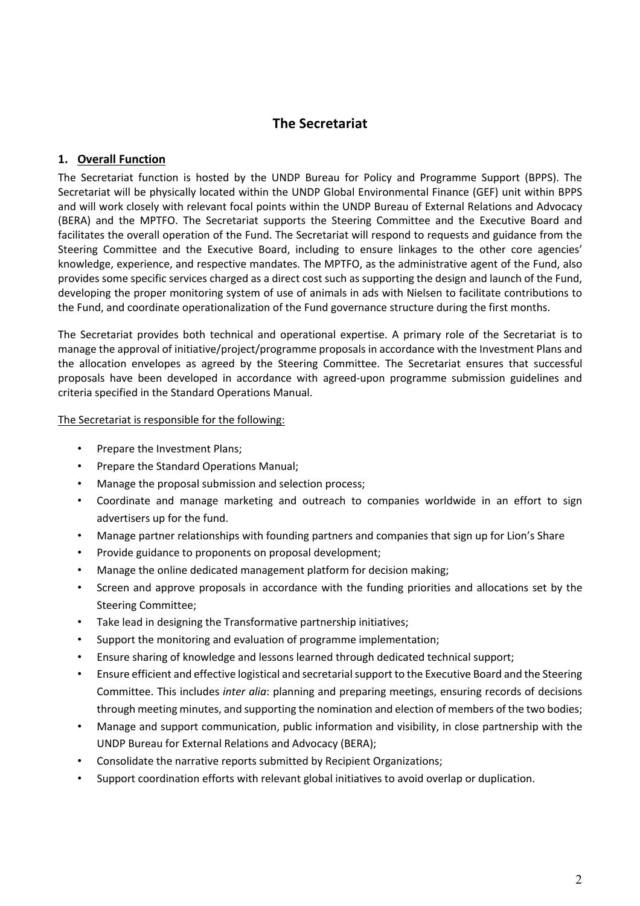## **The Secretariat**

#### **1. Overall Function**

The Secretariat function is hosted by the UNDP Bureau for Policy and Programme Support (BPPS). The Secretariat will be physically located within the UNDP Global Environmental Finance (GEF) unit within BPPS and will work closely with relevant focal points within the UNDP Bureau of External Relations and Advocacy (BERA) and the MPTFO. The Secretariat supports the Steering Committee and the Executive Board and facilitates the overall operation of the Fund. The Secretariat will respond to requests and guidance from the Steering Committee and the Executive Board, including to ensure linkages to the other core agencies' knowledge, experience, and respective mandates. The MPTFO, as the administrative agent of the Fund, also provides some specific services charged as a direct cost such as supporting the design and launch of the Fund, developing the proper monitoring system of use of animals in ads with Nielsen to facilitate contributions to the Fund, and coordinate operationalization of the Fund governance structure during the first months.

The Secretariat provides both technical and operational expertise. A primary role of the Secretariat is to manage the approval of initiative/project/programme proposals in accordance with the Investment Plans and the allocation envelopes as agreed by the Steering Committee. The Secretariat ensures that successful proposals have been developed in accordance with agreed-upon programme submission guidelines and criteria specified in the Standard Operations Manual.

#### The Secretariat is responsible for the following:

- Prepare the Investment Plans;
- Prepare the Standard Operations Manual;
- Manage the proposal submission and selection process;
- Coordinate and manage marketing and outreach to companies worldwide in an effort to sign advertisers up for the fund.
- Manage partner relationships with founding partners and companies that sign up for Lion's Share
- Provide guidance to proponents on proposal development;
- Manage the online dedicated management platform for decision making;
- Screen and approve proposals in accordance with the funding priorities and allocations set by the Steering Committee;
- Take lead in designing the Transformative partnership initiatives;
- Support the monitoring and evaluation of programme implementation;
- Ensure sharing of knowledge and lessons learned through dedicated technical support;
- Ensure efficient and effective logistical and secretarial support to the Executive Board and the Steering Committee. This includes *inter alia*: planning and preparing meetings, ensuring records of decisions through meeting minutes, and supporting the nomination and election of members of the two bodies;
- Manage and support communication, public information and visibility, in close partnership with the UNDP Bureau for External Relations and Advocacy (BERA);
- Consolidate the narrative reports submitted by Recipient Organizations;
- Support coordination efforts with relevant global initiatives to avoid overlap or duplication.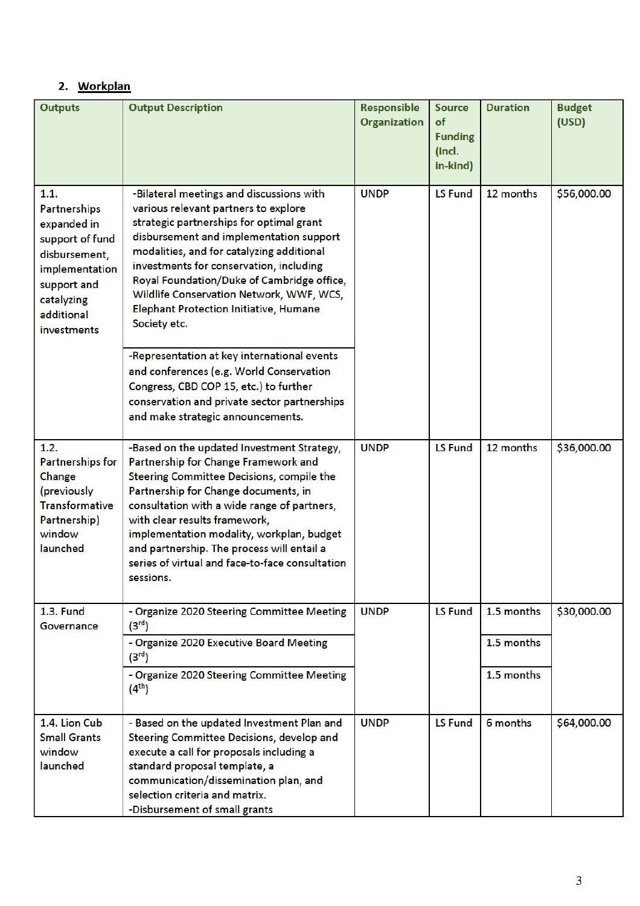# 2. Workplan

| <b>Outputs</b>                                                                                                                                      | <b>Output Description</b>                                                                                                                                                                                                                                                                                                                                                                                           | Responsible<br><b>Organization</b> | <b>Source</b><br>of<br><b>Funding</b><br>(incl.<br>in-kind) | <b>Duration</b>          | <b>Budget</b><br>(USD) |             |
|-----------------------------------------------------------------------------------------------------------------------------------------------------|---------------------------------------------------------------------------------------------------------------------------------------------------------------------------------------------------------------------------------------------------------------------------------------------------------------------------------------------------------------------------------------------------------------------|------------------------------------|-------------------------------------------------------------|--------------------------|------------------------|-------------|
| 1.1.<br>Partnerships<br>expanded in<br>support of fund<br>disbursement,<br>implementation<br>support and<br>catalyzing<br>additional<br>investments | -Bilateral meetings and discussions with<br>various relevant partners to explore<br>strategic partnerships for optimal grant<br>disbursement and implementation support<br>modalities, and for catalyzing additional<br>investments for conservation, including<br>Royal Foundation/Duke of Cambridge office,<br>Wildlife Conservation Network, WWF, WCS,<br>Elephant Protection Initiative, Humane<br>Society etc. | <b>UNDP</b>                        |                                                             | <b>LS Fund</b>           | 12 months              | \$56,000.00 |
|                                                                                                                                                     | -Representation at key international events<br>and conferences (e.g. World Conservation<br>Congress, CBD COP 15, etc.) to further<br>conservation and private sector partnerships<br>and make strategic announcements.                                                                                                                                                                                              |                                    |                                                             |                          |                        |             |
| 1.2.<br>Partnerships for<br>Change<br>(previously<br><b>Transformative</b><br>Partnership)<br>window<br>launched                                    | -Based on the updated Investment Strategy,<br>Partnership for Change Framework and<br>Steering Committee Decisions, compile the<br>Partnership for Change documents, in<br>consultation with a wide range of partners,<br>with clear results framework,<br>implementation modality, workplan, budget<br>and partnership. The process will entail a<br>series of virtual and face-to-face consultation<br>sessions.  | <b>UNDP</b>                        | <b>LS Fund</b>                                              | 12 months                | \$36,000.00            |             |
| <b>1.3. Fund</b><br>Governance                                                                                                                      | <b>UNDP</b><br>- Organize 2020 Steering Committee Meeting<br>(3 <sup>rd</sup> )<br>- Organize 2020 Executive Board Meeting<br>(3 <sup>rd</sup> )                                                                                                                                                                                                                                                                    |                                    | <b>LS Fund</b>                                              | 1.5 months<br>1.5 months | \$30,000.00            |             |
|                                                                                                                                                     | - Organize 2020 Steering Committee Meeting<br>$(4^{th})$                                                                                                                                                                                                                                                                                                                                                            |                                    |                                                             | 1.5 months               |                        |             |
| 1.4. Lion Cub<br><b>Small Grants</b><br>window<br>launched                                                                                          | - Based on the updated Investment Plan and<br>Steering Committee Decisions, develop and<br>execute a call for proposals including a<br>standard proposal template, a<br>communication/dissemination plan, and<br>selection criteria and matrix.<br>-Disbursement of small grants                                                                                                                                    | <b>UNDP</b>                        | <b>LS Fund</b>                                              | 6 months                 | \$64,000.00            |             |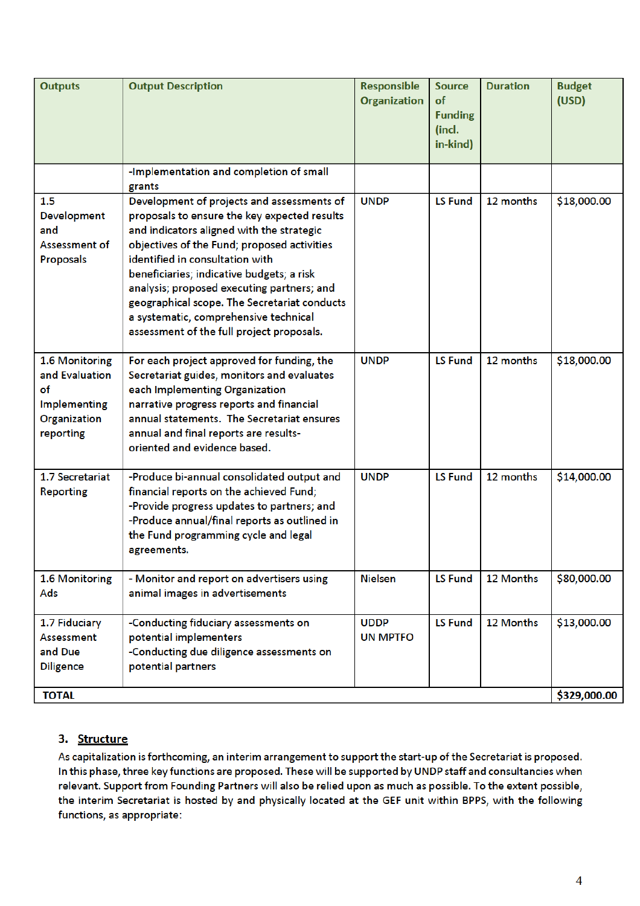| <b>Outputs</b>                                                                             | <b>Output Description</b>                                                                                                                                                                                                                                                                                                                                                                                                                                  | <b>Responsible</b><br><b>Organization</b> | <b>Source</b><br>of<br><b>Funding</b><br>(incl.<br>in-kind) | <b>Duration</b> | <b>Budget</b><br>(USD)      |
|--------------------------------------------------------------------------------------------|------------------------------------------------------------------------------------------------------------------------------------------------------------------------------------------------------------------------------------------------------------------------------------------------------------------------------------------------------------------------------------------------------------------------------------------------------------|-------------------------------------------|-------------------------------------------------------------|-----------------|-----------------------------|
|                                                                                            | -Implementation and completion of small<br>grants                                                                                                                                                                                                                                                                                                                                                                                                          |                                           |                                                             |                 |                             |
| 1.5<br>Development<br>and<br>Assessment of<br>Proposals                                    | Development of projects and assessments of<br>proposals to ensure the key expected results<br>and indicators aligned with the strategic<br>objectives of the Fund; proposed activities<br>identified in consultation with<br>beneficiaries; indicative budgets; a risk<br>analysis; proposed executing partners; and<br>geographical scope. The Secretariat conducts<br>a systematic, comprehensive technical<br>assessment of the full project proposals. | <b>UNDP</b>                               | <b>LS Fund</b>                                              | 12 months       | \$18,000.00                 |
| 1.6 Monitoring<br>and Evaluation<br>of<br><b>Implementing</b><br>Organization<br>reporting | For each project approved for funding, the<br>Secretariat guides, monitors and evaluates<br>each Implementing Organization<br>narrative progress reports and financial<br>annual statements. The Secretariat ensures<br>annual and final reports are results-<br>oriented and evidence based.                                                                                                                                                              | <b>UNDP</b>                               | <b>LS Fund</b>                                              | 12 months       | \$18,000.00                 |
| 1.7 Secretariat<br><b>Reporting</b>                                                        | -Produce bi-annual consolidated output and<br>financial reports on the achieved Fund;<br>-Provide progress updates to partners; and<br>-Produce annual/final reports as outlined in<br>the Fund programming cycle and legal<br>agreements.                                                                                                                                                                                                                 | <b>UNDP</b>                               | <b>LS Fund</b>                                              | 12 months       | \$14,000.00                 |
| 1.6 Monitoring<br>Ads                                                                      | - Monitor and report on advertisers using<br>animal images in advertisements                                                                                                                                                                                                                                                                                                                                                                               | <b>Nielsen</b>                            | <b>LS Fund</b>                                              | 12 Months       | \$80,000.00                 |
| 1.7 Fiduciary<br>Assessment<br>and Due<br><b>Diligence</b><br><b>TOTAL</b>                 | -Conducting fiduciary assessments on<br>potential implementers<br>-Conducting due diligence assessments on<br>potential partners                                                                                                                                                                                                                                                                                                                           | <b>UDDP</b><br><b>UN MPTFO</b>            | <b>LS Fund</b>                                              | 12 Months       | \$13,000.00<br>\$329,000.00 |
|                                                                                            |                                                                                                                                                                                                                                                                                                                                                                                                                                                            |                                           |                                                             |                 |                             |

#### 3. Structure

As capitalization is forthcoming, an interim arrangement to support the start-up of the Secretariat is proposed. In this phase, three key functions are proposed. These will be supported by UNDP staff and consultancies when relevant. Support from Founding Partners will also be relied upon as much as possible. To the extent possible, the interim Secretariat is hosted by and physically located at the GEF unit within BPPS, with the following functions, as appropriate: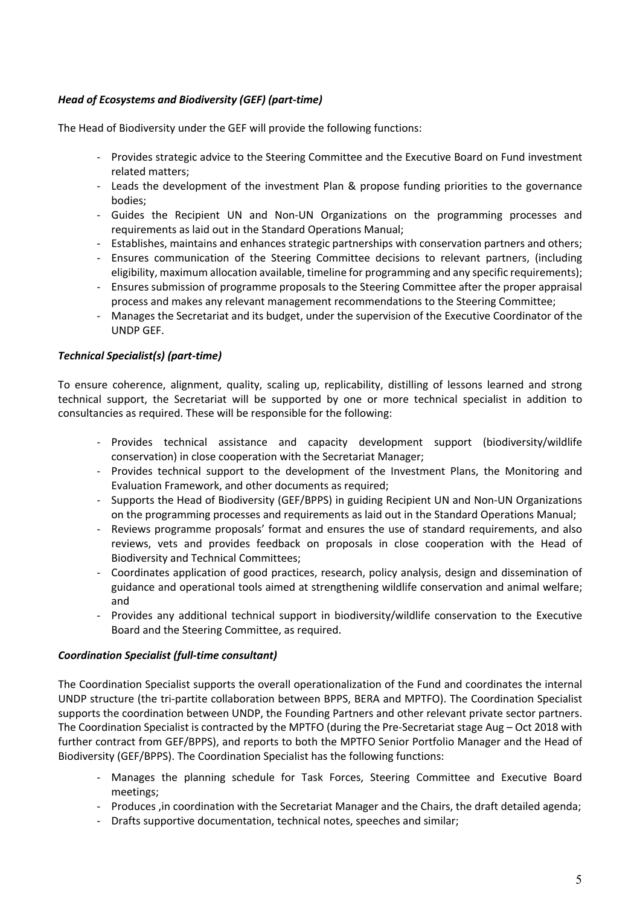#### *Head of Ecosystems and Biodiversity (GEF) (part-time)*

The Head of Biodiversity under the GEF will provide the following functions:

- Provides strategic advice to the Steering Committee and the Executive Board on Fund investment related matters;
- Leads the development of the investment Plan & propose funding priorities to the governance bodies;
- Guides the Recipient UN and Non-UN Organizations on the programming processes and requirements as laid out in the Standard Operations Manual;
- Establishes, maintains and enhances strategic partnerships with conservation partners and others;
- Ensures communication of the Steering Committee decisions to relevant partners, (including eligibility, maximum allocation available, timeline for programming and any specific requirements);
- Ensures submission of programme proposals to the Steering Committee after the proper appraisal process and makes any relevant management recommendations to the Steering Committee;
- Manages the Secretariat and its budget, under the supervision of the Executive Coordinator of the UNDP GEF.

#### *Technical Specialist(s) (part-time)*

To ensure coherence, alignment, quality, scaling up, replicability, distilling of lessons learned and strong technical support, the Secretariat will be supported by one or more technical specialist in addition to consultancies as required. These will be responsible for the following:

- Provides technical assistance and capacity development support (biodiversity/wildlife conservation) in close cooperation with the Secretariat Manager;
- Provides technical support to the development of the Investment Plans, the Monitoring and Evaluation Framework, and other documents as required;
- Supports the Head of Biodiversity (GEF/BPPS) in guiding Recipient UN and Non-UN Organizations on the programming processes and requirements as laid out in the Standard Operations Manual;
- Reviews programme proposals' format and ensures the use of standard requirements, and also reviews, vets and provides feedback on proposals in close cooperation with the Head of Biodiversity and Technical Committees;
- Coordinates application of good practices, research, policy analysis, design and dissemination of guidance and operational tools aimed at strengthening wildlife conservation and animal welfare; and
- Provides any additional technical support in biodiversity/wildlife conservation to the Executive Board and the Steering Committee, as required.

#### *Coordination Specialist (full-time consultant)*

The Coordination Specialist supports the overall operationalization of the Fund and coordinates the internal UNDP structure (the tri-partite collaboration between BPPS, BERA and MPTFO). The Coordination Specialist supports the coordination between UNDP, the Founding Partners and other relevant private sector partners. The Coordination Specialist is contracted by the MPTFO (during the Pre-Secretariat stage Aug – Oct 2018 with further contract from GEF/BPPS), and reports to both the MPTFO Senior Portfolio Manager and the Head of Biodiversity (GEF/BPPS). The Coordination Specialist has the following functions:

- Manages the planning schedule for Task Forces, Steering Committee and Executive Board meetings;
- Produces ,in coordination with the Secretariat Manager and the Chairs, the draft detailed agenda;
- Drafts supportive documentation, technical notes, speeches and similar;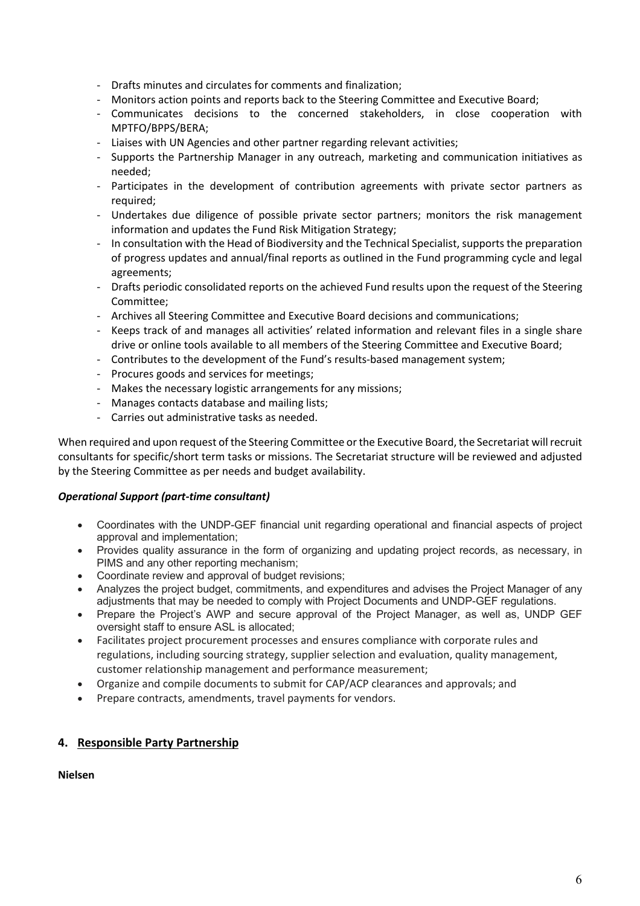- Drafts minutes and circulates for comments and finalization;
- Monitors action points and reports back to the Steering Committee and Executive Board;
- Communicates decisions to the concerned stakeholders, in close cooperation with MPTFO/BPPS/BERA;
- Liaises with UN Agencies and other partner regarding relevant activities;
- Supports the Partnership Manager in any outreach, marketing and communication initiatives as needed;
- Participates in the development of contribution agreements with private sector partners as required;
- Undertakes due diligence of possible private sector partners; monitors the risk management information and updates the Fund Risk Mitigation Strategy;
- In consultation with the Head of Biodiversity and the Technical Specialist, supports the preparation of progress updates and annual/final reports as outlined in the Fund programming cycle and legal agreements;
- Drafts periodic consolidated reports on the achieved Fund results upon the request of the Steering Committee;
- Archives all Steering Committee and Executive Board decisions and communications;
- Keeps track of and manages all activities' related information and relevant files in a single share drive or online tools available to all members of the Steering Committee and Executive Board;
- Contributes to the development of the Fund's results-based management system;
- Procures goods and services for meetings;
- Makes the necessary logistic arrangements for any missions;
- Manages contacts database and mailing lists;
- Carries out administrative tasks as needed.

When required and upon request of the Steering Committee or the Executive Board, the Secretariat will recruit consultants for specific/short term tasks or missions. The Secretariat structure will be reviewed and adjusted by the Steering Committee as per needs and budget availability.

#### *Operational Support (part-time consultant)*

- Coordinates with the UNDP-GEF financial unit regarding operational and financial aspects of project approval and implementation;
- Provides quality assurance in the form of organizing and updating project records, as necessary, in PIMS and any other reporting mechanism;
- Coordinate review and approval of budget revisions;
- Analyzes the project budget, commitments, and expenditures and advises the Project Manager of any adjustments that may be needed to comply with Project Documents and UNDP-GEF regulations.
- Prepare the Project's AWP and secure approval of the Project Manager, as well as, UNDP GEF oversight staff to ensure ASL is allocated;
- Facilitates project procurement processes and ensures compliance with corporate rules and regulations, including sourcing strategy, supplier selection and evaluation, quality management, customer relationship management and performance measurement;
- Organize and compile documents to submit for CAP/ACP clearances and approvals; and
- Prepare contracts, amendments, travel payments for vendors.

#### **4. Responsible Party Partnership**

**Nielsen**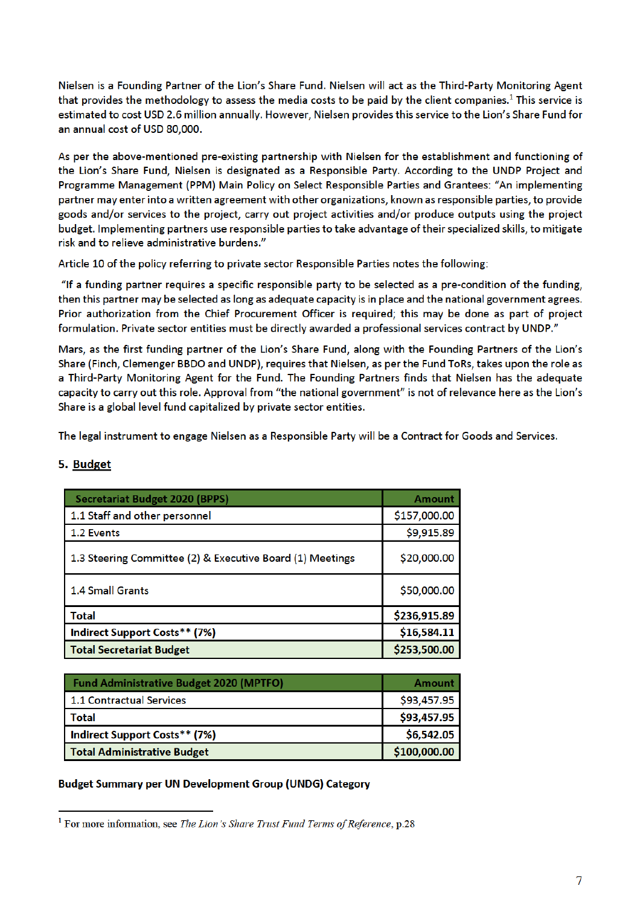Nielsen is a Founding Partner of the Lion's Share Fund. Nielsen will act as the Third-Party Monitoring Agent that provides the methodology to assess the media costs to be paid by the client companies.<sup>1</sup> This service is estimated to cost USD 2.6 million annually. However, Nielsen provides this service to the Lion's Share Fund for an annual cost of USD 80,000.

As per the above-mentioned pre-existing partnership with Nielsen for the establishment and functioning of the Lion's Share Fund, Nielsen is designated as a Responsible Party. According to the UNDP Project and Programme Management (PPM) Main Policy on Select Responsible Parties and Grantees: "An implementing partner may enter into a written agreement with other organizations, known as responsible parties, to provide goods and/or services to the project, carry out project activities and/or produce outputs using the project budget. Implementing partners use responsible parties to take advantage of their specialized skills, to mitigate risk and to relieve administrative burdens."

Article 10 of the policy referring to private sector Responsible Parties notes the following:

"If a funding partner requires a specific responsible party to be selected as a pre-condition of the funding, then this partner may be selected as long as adequate capacity is in place and the national government agrees. Prior authorization from the Chief Procurement Officer is required; this may be done as part of project formulation. Private sector entities must be directly awarded a professional services contract by UNDP."

Mars, as the first funding partner of the Lion's Share Fund, along with the Founding Partners of the Lion's Share (Finch, Clemenger BBDO and UNDP), requires that Nielsen, as per the Fund ToRs, takes upon the role as a Third-Party Monitoring Agent for the Fund. The Founding Partners finds that Nielsen has the adequate capacity to carry out this role. Approval from "the national government" is not of relevance here as the Lion's Share is a global level fund capitalized by private sector entities.

The legal instrument to engage Nielsen as a Responsible Party will be a Contract for Goods and Services.

| <b>Secretariat Budget 2020 (BPPS)</b>                     | <b>Amount</b> |
|-----------------------------------------------------------|---------------|
| 1.1 Staff and other personnel                             | \$157,000.00  |
| 1.2 Events                                                | \$9,915.89    |
| 1.3 Steering Committee (2) & Executive Board (1) Meetings | \$20,000.00   |
| <b>1.4 Small Grants</b>                                   | \$50,000.00   |
| <b>Total</b>                                              | \$236,915.89  |
| Indirect Support Costs** (7%)                             | \$16,584.11   |
| <b>Total Secretariat Budget</b>                           | \$253,500.00  |

#### 5. Budget

| <b>Fund Administrative Budget 2020 (MPTFO)</b> | Amount       |
|------------------------------------------------|--------------|
| <b>1.1 Contractual Services</b>                | \$93,457.95  |
| <b>Total</b>                                   | \$93,457.95  |
| Indirect Support Costs** (7%)                  | \$6,542.05   |
| Total Administrative Budget                    | \$100,000.00 |

#### **Budget Summary per UN Development Group (UNDG) Category**

<sup>&</sup>lt;sup>1</sup> For more information, see The Lion's Share Trust Fund Terms of Reference, p.28